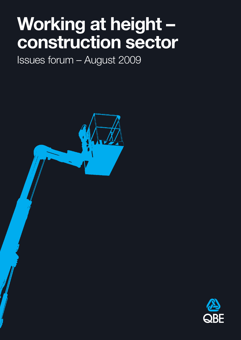## **Working at height – construction sector**

Issues forum – August 2009



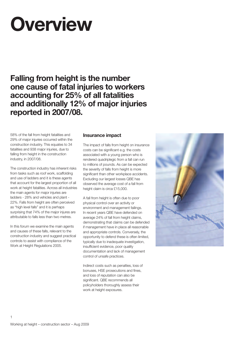# **Overview**

**Falling from height is the number one cause of fatal injuries to workers accounting for 25% of all fatalities and additionally 12% of major injuries reported in 2007/08.**

58% of the fall from height fatalities and 29% of major injuries occurred within the construction industry. This equates to 34 fatalities and 938 major injuries, due to falling from height in the construction industry, in 2007/08.

The construction industry has inherent risks from tasks such as roof work, scaffolding and use of ladders and it is these agents that account for the largest proportion of all work at height fatalities. Across all industries the main agents for major injuries are ladders - 28% and vehicles and plant - 22%. Falls from height are often perceived as "high level falls" and it is perhaps surprising that 74% of the major injures are attributable to falls less than two metres.

In this forum we examine the main agents and causes of these falls, relevant to the construction industry and suggest practical controls to assist with compliance of the Work at Height Regulations 2005.

## **Insurance impact**

The impact of falls from height on insurance costs can be significant e.g. the costs associated with a young person who is rendered quadriplegic from a fall can run to millions of pounds. As can be expected the severity of falls from height is more significant than other workplace accidents. Excluding our largest losses QBE has observed the average cost of a fall from height claim is circa £15,000.

A fall from height is often due to poor physical control over an activity or environment and management failings. In recent years QBE have defended on average 24% of fall from height claims, demonstrating that claims can be defended if management have in place all reasonable and appropriate controls. Conversely, the opportunity to defend these is often limited, typically due to inadequate investigation, insufficient evidence, poor quality documentation and lack of management control of unsafe practices.

Indirect costs such as penalties, loss of bonuses, HSE prosecutions and fines, and loss of reputation can also be significant. QBE recommends all policyholders thoroughly assess their work at height exposures.

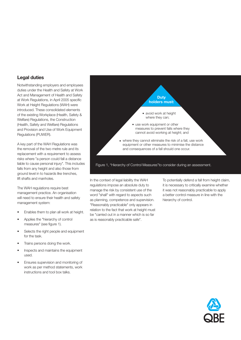## **Legal duties**

Notwithstanding employers and employees duties under the Health and Safety at Work Act and Management of Health and Safety at Work Regulations, in April 2005 specific Work at Height Regulations (WAH) were introduced. These consolidated elements of the existing Workplace (Health, Safety & Welfare) Regulations, the Construction (Health, Safety and Welfare) Regulations and Provision and Use of Work Equipment Regulations (PUWER).

A key part of the WAH Regulations was the removal of the two metre rule and its replacement with a requirement to assess risks where "a person could fall a distance liable to cause personal injury". This includes falls from any height and also those from ground level in to hazards like trenches, lift shafts and manholes.

The WAH regulations require best management practice. An organisation will need to ensure their health and safety management system:

- Enables them to plan all work at height.
- Applies the "hierarchy of control measures" (see figure 1).
- Selects the right people and equipment for the task.
- Trains persons doing the work.
- Inspects and maintains the equipment used.
- Ensures supervision and monitoring of work as per method statements, work instructions and tool box talks.



In the context of legal liability the WAH regulations impose an absolute duty to manage the risk by consistent use of the word "shall" with regard to aspects such as planning, competence and supervision. "Reasonably practicable" only appears in relation to the fact that work at height must be "carried out in a manner which is so far as is reasonably practicable safe".

To potentially defend a fall from height claim, it is necessary to critically examine whether it was not reasonably practicable to apply a better control measure in line with the hierarchy of control.

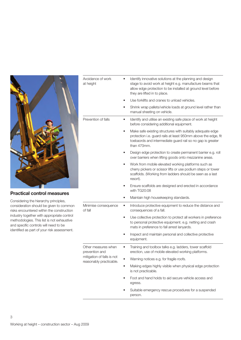

## **Practical control measures**

Considering the hierarchy principles, consideration should be given to common risks encountered within the construction industry together with appropriate control methodologies. This list is not exhaustive and specific controls will need to be identified as part of your risk assessment.

| Avoidance of work<br>at height                                                                 |           | Identify innovative solutions at the planning and design<br>stage to avoid work at height e.g. manufacture beams that<br>allow edge protection to be installed at ground level before<br>they are lifted in to place. |
|------------------------------------------------------------------------------------------------|-----------|-----------------------------------------------------------------------------------------------------------------------------------------------------------------------------------------------------------------------|
|                                                                                                |           | Use forklifts and cranes to unload vehicles.                                                                                                                                                                          |
|                                                                                                |           | Shrink wrap pallets/vehicle loads at ground level rather than<br>manual sheeting on vehicle.                                                                                                                          |
| Prevention of falls                                                                            |           | Identify and utilise an existing safe place of work at height<br>before considering additional equipment.                                                                                                             |
|                                                                                                |           | Make safe existing structures with suitably adequate edge<br>protection i.e. guard rails at least 950mm above the edge, fit<br>toebaords and intermediate guard rail so no gap is greater<br>than 470mm.              |
|                                                                                                |           | Design edge protection to create permanent barrier e.g. roll<br>over barriers when lifting goods onto mezzanine areas.                                                                                                |
|                                                                                                |           | Work from mobile elevated working platforms such as<br>cherry pickers or scissor lifts or use podium steps or tower<br>scaffolds. (Working from ladders should be seen as a last<br>resort).                          |
|                                                                                                |           | Ensure scaffolds are designed and erected in accordance<br>with TG20:08                                                                                                                                               |
|                                                                                                |           | Maintain high housekeeping standards.                                                                                                                                                                                 |
| Minimise consequence<br>of fall                                                                | $\bullet$ | Introduce protective equipment to reduce the distance and<br>consequences of a fall.                                                                                                                                  |
|                                                                                                | ٠         | Use collective protection to protect all workers in preference<br>to personal protective equipment. e.g. netting and crash<br>mats in preference to fall arrest lanyards.                                             |
|                                                                                                |           | Inspect and maintain personal and collective protective<br>equipment.                                                                                                                                                 |
| Other measures when<br>prevention and<br>mitigation of falls is not<br>reasonably practicable. |           | Training and toolbox talks e.g. ladders, tower scaffold<br>erection, use of mobile elevated working platforms.                                                                                                        |
|                                                                                                |           | Warning notices e.g. for fragile roofs.                                                                                                                                                                               |
|                                                                                                |           | Making edges highly visible when physical edge protection<br>is not practicable.                                                                                                                                      |
|                                                                                                | ٠         | Foot and hand holds to aid secure vehicle access and<br>egress.                                                                                                                                                       |
|                                                                                                |           | Suitable emergency rescue procedures for a suspended<br>person.                                                                                                                                                       |

3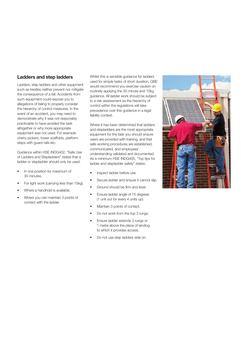#### **Ladders and step ladders**

Ladders, step ladders and other equipment such as trestles neither prevent nor mitigate the consequence of a fall. Accidents from such equipment could expose you to allegations of failing to properly consider the hierarchy of control measures. In the event of an accident, you may need to demonstrate why it was not reasonably practicable to have avoided the task altogether or why more appropriate equipment was not used. For example cherry pickers, tower scaffolds, platform steps with guard rails etc.

Guidance within HSE INDG402, "Safe Use of Ladders and Stepladders" states that a ladder or stepladder should only be used:

- In one position for maximum of 30 minutes.
- For light work (carrying less than 10kg).
- Where a handhold is available.
- Where you can maintain 3 points of contact with the ladder.

Whilst this is sensible guidance for ladders used for simple tasks of short duration, QBE would recommend you exercise caution on routinely applying the 30 minute and 10kg guidance. All ladder work should be subject to a risk assessment as the hierarchy of control within the regulations will take precedence over this guidance in a legal liability context.

Where it has been determined that ladders and stepladders are the most appropriate equipment for the task you should ensure users are provided with training, and that safe working procedures are established, communicated, and employees' understanding validated and documented. As a minimum HSE INDG405, "Top tips for ladder and stepladder safety" states:

- Inspect ladder before use.
- Secure ladder and ensure it cannot slip.
- Ground should be firm and level.
- Ensure ladder angle of 75 degrees (1 unit out for every 4 units up).
- Maintain 3 points of contact.
- Do not work from the top 3 rungs.
- Ensure ladder extends 3 rungs or 1 metre above the place of landing to which it provides access.
- Do not use step ladders side on.

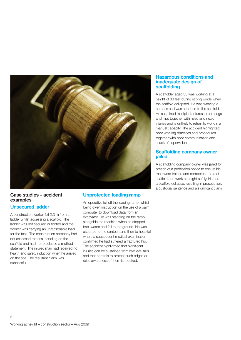

#### **Case studies – accident examples**

## **Unsecured ladder**

A construction worker fell 2.3 m from a ladder whilst accessing a scaffold. The ladder was not secured or footed and the worker was carrying an unreasonable load for the task. The construction company had not assessed material handling on the scaffold and had not produced a method statement. The injured man had received no health and safety induction when he arrived on the site. The resultant claim was successful.

## **Unprotected loading ramp**

An operative fell off the loading ramp, whilst being given instruction on the use of a palm computer to download data from an excavator. He was standing on the ramp alongside the machine when he stepped backwards and fell to the ground. He was escorted to the canteen and then to hospital where a subsequent medical examination confirmed he had suffered a fractured hip. The accident highlighted that significant injuries can be sustained from low level falls and that controls to protect such edges or raise awareness of them is required.

#### **Hazardous conditions and inadequate design of scaffolding**

A scaffolder aged 33 was working at a height of 30 feet during strong winds when the scaffold collapsed. He was wearing a harness and was attached to the scaffold. He sustained multiple fractures to both legs and hips together with head and neck injuries and is unlikely to return to work in a manual capacity. The accident highlighted poor working practices and procedures together with poor communication and a lack of supervision.

#### **Scaffolding company owner jailed**

A scaffolding company owner was jailed for breach of a prohibition notice to ensure his men were trained and competent to erect scaffold and work at height safely. He had a scaffold collapse, resulting in prosecution, a custodial sentence and a significant claim.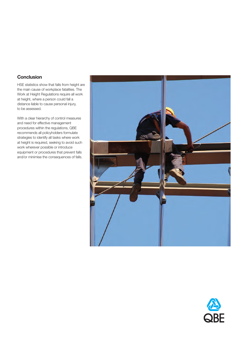## **Conclusion**

HSE statistics show that falls from height are the main cause of workplace fatalities. The Work at Height Regulations require all work at height, where a person could fall a distance liable to cause personal injury, to be assessed.

With a clear hierarchy of control measures and need for effective management procedures within the regulations, QBE recommends all policyholders formulate strategies to identify all tasks where work at height is required, seeking to avoid such work wherever possible or introduce equipment or procedures that prevent falls and/or minimise the consequences of falls.



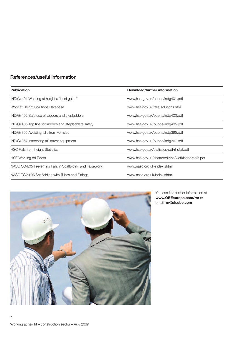## **References/useful information**

| <b>Publication</b>                                        | Download/further information                     |
|-----------------------------------------------------------|--------------------------------------------------|
| IND(G) 401 Working at height a "brief guide"              | www.hse.gov.uk/pubns/indg401.pdf                 |
| Work at Height Solutions Database                         | www.hse.gov.uk/falls/solutions.htm               |
| IND(G) 402 Safe use of ladders and stepladders            | www.hse.gov.uk/pubns/indg402.pdf                 |
| IND(G) 405 Top tips for ladders and stepladders safety    | www.hse.gov.uk/pubns/indg405.pdf                 |
| IND(G) 395 Avoiding falls from vehicles                   | www.hse.gov.uk/pubns/indg395.pdf                 |
| IND(G) 367 Inspecting fall arrest equipment               | www.hse.gov.uk/pubns/indg367.pdf                 |
| HSC Falls from height Statistics                          | www.hse.gov.uk/statistics/pdf/rhsfall.pdf        |
| HSE Working on Roofs                                      | www.hse.gov.uk/shatteredlives/workingonroofs.pdf |
| NASC SG4:05 Preventing Falls in Scaffolding and Falsework | www.nasc.org.uk/index.shtml                      |
| NASC TG20:08 Scaffolding with Tubes and Fittings          | www.nasc.org.uk/index.shtml                      |



You can find further information at **www.QBEeurope.com/rm** or email **rm@uk.qbe.com**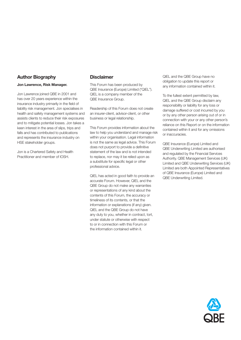## **Author Biography**

#### **Jon Lawrence, Risk Manager.**

Jon Lawrence joined QBE in 2001 and has over 20 years experience within the insurance industry primarily in the field of liability risk management. Jon specialises in health and safety management systems and assists clients to reduce their risk exposures and to mitigate potential losses. Jon takes a keen interest in the area of slips, trips and falls and has contributed to publications and represents the insurance industry on HSE stakeholder groups.

Jon is a Chartered Safety and Health Practitioner and member of IOSH.

### **Disclaimer**

This Forum has been produced by QBE Insurance (Europe) Limited ("QIEL"). QIEL is a company member of the QBE Insurance Group.

Readership of this Forum does not create an insurer-client, advisor-client, or other business or legal relationship.

This Forum provides information about the law to help you understand and manage risk within your organisation. Legal information is not the same as legal advice. This Forum does not purport to provide a definitive statement of the law and is not intended to replace, nor may it be relied upon as a substitute for specific legal or other professional advice.

QIEL has acted in good faith to provide an accurate Forum. However, QIEL and the QBE Group do not make any warranties or representations of any kind about the contents of this Forum, the accuracy or timeliness of its contents, or that the information or explanations (if any) given. QIEL and the QBE Group do not have any duty to you, whether in contract, tort, under statute or otherwise with respect to or in connection with this Forum or the information contained within it.

QIEL and the QBE Group have no obligation to update this report or any information contained within it.

To the fullest extent permitted by law, QIEL and the QBE Group disclaim any responsibility or liability for any loss or damage suffered or cost incurred by you or by any other person arising out of or in connection with your or any other person's reliance on this Report or on the information contained within it and for any omissions or inaccuracies.

QBE Insurance (Europe) Limited and QBE Underwriting Limited are authorised and regulated by the Financial Services Authority. QBE Management Services (UK) Limited and QBE Underwriting Services (UK) Limited are both Appointed Representatives of QBE Insurance (Europe) Limited and QBE Underwriting Limited.